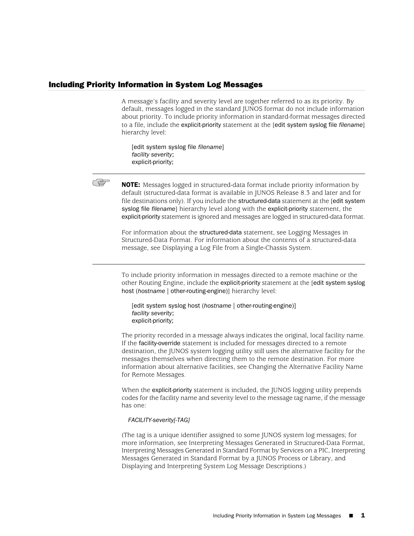## Including Priority Information in System Log Messages

A message's facility and severity level are together referred to as its priority. By default, messages logged in the standard JUNOS format do not include information about priority. To include priority information in standard-format messages directed to a file, include the explicit-priority statement at the [edit system syslog file *filename*] hierarchy level:

[edit system syslog file *filename*] *facility severity*; explicit-priority;



NOTE: Messages logged in structured-data format include priority information by default (structured-data format is available in JUNOS Release 8.3 and later and for file destinations only). If you include the structured-data statement at the [edit system syslog file *filename*] hierarchy level along with the explicit-priority statement, the explicit-priority statement is ignored and messages are logged in structured-data format.

For information about the structured-data statement, see Logging Messages in Structured-Data Format. For information about the contents of a structured-data message, see Displaying a Log File from a Single-Chassis System.

To include priority information in messages directed to a remote machine or the other Routing Engine, include the explicit-priority statement at the [edit system syslog host (*hostname* | other-routing-engine)] hierarchy level:

[edit system syslog host (*hostname* | other-routing-engine)] *facility severity*; explicit-priority;

The priority recorded in a message always indicates the original, local facility name. If the facility-override statement is included for messages directed to a remote destination, the JUNOS system logging utility still uses the alternative facility for the messages themselves when directing them to the remote destination. For more information about alternative facilities, see Changing the Alternative Facility Name for Remote Messages.

When the explicit-priority statement is included, the JUNOS logging utility prepends codes for the facility name and severity level to the message tag name, if the message has one:

### *FACILITY-severity[-TAG]*

(The tag is a unique identifier assigned to some JUNOS system log messages; for more information, see Interpreting Messages Generated in Structured-Data Format, Interpreting Messages Generated in Standard Format by Services on a PIC, Interpreting Messages Generated in Standard Format by a JUNOS Process or Library, and Displaying and Interpreting System Log Message Descriptions.)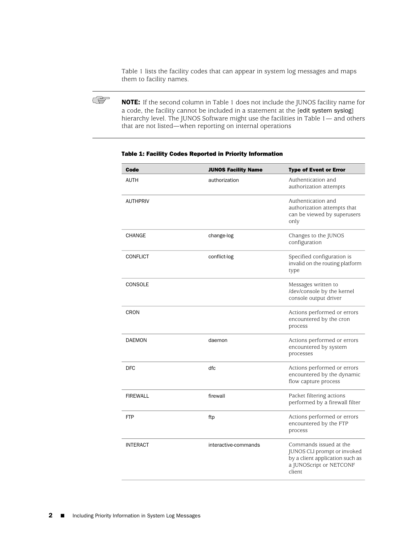[Table 1](#page-1-0) lists the facility codes that can appear in system log messages and maps them to facility names.



NOTE: If the second column in [Table 1](#page-1-0) does not include the JUNOS facility name for a code, the facility cannot be included in a statement at the [edit system syslog] hierarchy level. The JUNOS Software might use the facilities in [Table 1—](#page-1-0) and others that are not listed—when reporting on internal operations

| Code            | <b>JUNOS Facility Name</b> | <b>Type of Event or Error</b>                                                                                                 |
|-----------------|----------------------------|-------------------------------------------------------------------------------------------------------------------------------|
| <b>AUTH</b>     | authorization              | Authentication and<br>authorization attempts                                                                                  |
| <b>AUTHPRIV</b> |                            | Authentication and<br>authorization attempts that<br>can be viewed by superusers<br>only                                      |
| <b>CHANGE</b>   | change-log                 | Changes to the JUNOS<br>configuration                                                                                         |
| <b>CONFLICT</b> | conflict-log               | Specified configuration is<br>invalid on the routing platform<br>type                                                         |
| <b>CONSOLE</b>  |                            | Messages written to<br>/dev/console by the kernel<br>console output driver                                                    |
| <b>CRON</b>     |                            | Actions performed or errors<br>encountered by the cron<br>process                                                             |
| <b>DAEMON</b>   | daemon                     | Actions performed or errors<br>encountered by system<br>processes                                                             |
| <b>DFC</b>      | dfc                        | Actions performed or errors<br>encountered by the dynamic<br>flow capture process                                             |
| <b>FIREWALL</b> | firewall                   | Packet filtering actions<br>performed by a firewall filter                                                                    |
| <b>FTP</b>      | ftp                        | Actions performed or errors<br>encountered by the FTP<br>process                                                              |
| <b>INTERACT</b> | interactive-commands       | Commands issued at the<br>JUNOS CLI prompt or invoked<br>by a client application such as<br>a JUNOScript or NETCONF<br>client |
|                 |                            |                                                                                                                               |

#### <span id="page-1-0"></span>Table 1: Facility Codes Reported in Priority Information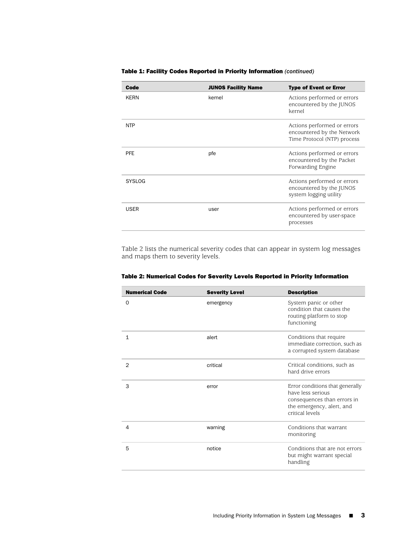#### Table 1: Facility Codes Reported in Priority Information *(continued)*

| Code          | <b>JUNOS Facility Name</b> | <b>Type of Event or Error</b>                                                            |
|---------------|----------------------------|------------------------------------------------------------------------------------------|
| <b>KFRN</b>   | kernel                     | Actions performed or errors<br>encountered by the JUNOS<br>kernel                        |
| <b>NTP</b>    |                            | Actions performed or errors<br>encountered by the Network<br>Time Protocol (NTP) process |
| <b>PFE</b>    | pfe                        | Actions performed or errors<br>encountered by the Packet<br>Forwarding Engine            |
| <b>SYSLOG</b> |                            | Actions performed or errors<br>encountered by the JUNOS<br>system logging utility        |
| <b>USER</b>   | user                       | Actions performed or errors<br>encountered by user-space<br>processes                    |

<span id="page-2-0"></span>[Table 2](#page-2-0) lists the numerical severity codes that can appear in system log messages and maps them to severity levels.

| <b>Numerical Code</b> | <b>Severity Level</b> | <b>Description</b>                                                                                                                  |
|-----------------------|-----------------------|-------------------------------------------------------------------------------------------------------------------------------------|
| $\Omega$              | emergency             | System panic or other<br>condition that causes the<br>routing platform to stop<br>functioning                                       |
| $\mathbf{1}$          | alert                 | Conditions that require<br>immediate correction, such as<br>a corrupted system database                                             |
| $\overline{2}$        | critical              | Critical conditions, such as<br>hard drive errors                                                                                   |
| 3                     | error                 | Error conditions that generally<br>have less serious<br>consequences than errors in<br>the emergency, alert, and<br>critical levels |
| $\overline{4}$        | warning               | Conditions that warrant<br>monitoring                                                                                               |
| 5                     | notice                | Conditions that are not errors<br>but might warrant special<br>handling                                                             |

# Table 2: Numerical Codes for Severity Levels Reported in Priority Information